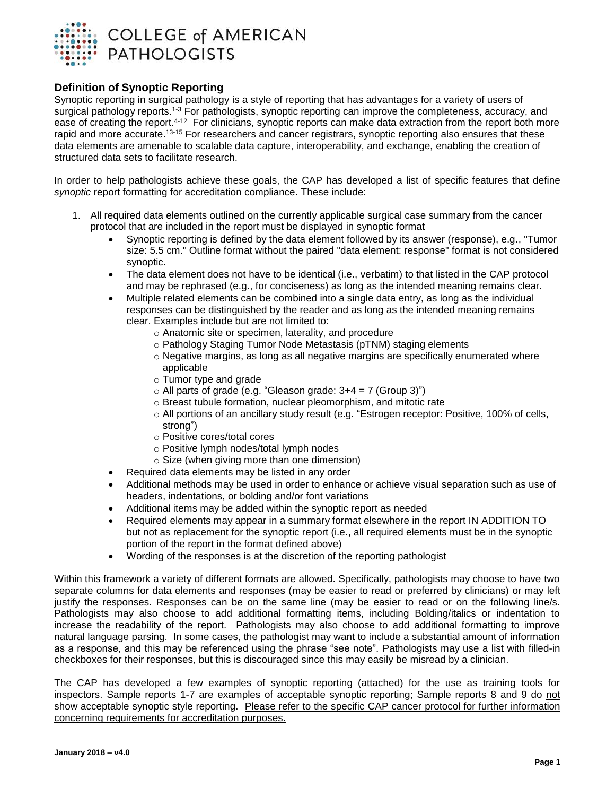

#### **Definition of Synoptic Reporting**

Synoptic reporting in surgical pathology is a style of reporting that has advantages for a variety of users of surgical pathology reports.<sup>1-3</sup> For pathologists, synoptic reporting can improve the completeness, accuracy, and ease of creating the report.<sup>4-12</sup> For clinicians, synoptic reports can make data extraction from the report both more rapid and more accurate.<sup>13-15</sup> For researchers and cancer registrars, synoptic reporting also ensures that these data elements are amenable to scalable data capture, interoperability, and exchange, enabling the creation of structured data sets to facilitate research.

In order to help pathologists achieve these goals, the CAP has developed a list of specific features that define *synoptic* report formatting for accreditation compliance. These include:

- 1. All required data elements outlined on the currently applicable surgical case summary from the cancer protocol that are included in the report must be displayed in synoptic format
	- Synoptic reporting is defined by the data element followed by its answer (response), e.g., "Tumor size: 5.5 cm." Outline format without the paired "data element: response" format is not considered synoptic.
	- The data element does not have to be identical (i.e., verbatim) to that listed in the CAP protocol and may be rephrased (e.g., for conciseness) as long as the intended meaning remains clear.
	- Multiple related elements can be combined into a single data entry, as long as the individual responses can be distinguished by the reader and as long as the intended meaning remains clear. Examples include but are not limited to:
		- o Anatomic site or specimen, laterality, and procedure
		- o Pathology Staging Tumor Node Metastasis (pTNM) staging elements
		- $\circ$  Negative margins, as long as all negative margins are specifically enumerated where applicable
		- o Tumor type and grade
		- $\circ$  All parts of grade (e.g. "Gleason grade: 3+4 = 7 (Group 3)")
		- o Breast tubule formation, nuclear pleomorphism, and mitotic rate
		- o All portions of an ancillary study result (e.g. "Estrogen receptor: Positive, 100% of cells, strong")
		- o Positive cores/total cores
		- o Positive lymph nodes/total lymph nodes
		- o Size (when giving more than one dimension)
	- Required data elements may be listed in any order
	- Additional methods may be used in order to enhance or achieve visual separation such as use of headers, indentations, or bolding and/or font variations
	- Additional items may be added within the synoptic report as needed
	- Required elements may appear in a summary format elsewhere in the report IN ADDITION TO but not as replacement for the synoptic report (i.e., all required elements must be in the synoptic portion of the report in the format defined above)
	- Wording of the responses is at the discretion of the reporting pathologist

Within this framework a variety of different formats are allowed. Specifically, pathologists may choose to have two separate columns for data elements and responses (may be easier to read or preferred by clinicians) or may left justify the responses. Responses can be on the same line (may be easier to read or on the following line/s. Pathologists may also choose to add additional formatting items, including Bolding/italics or indentation to increase the readability of the report. Pathologists may also choose to add additional formatting to improve natural language parsing. In some cases, the pathologist may want to include a substantial amount of information as a response, and this may be referenced using the phrase "see note". Pathologists may use a list with filled-in checkboxes for their responses, but this is discouraged since this may easily be misread by a clinician.

The CAP has developed a few examples of synoptic reporting (attached) for the use as training tools for inspectors. Sample reports 1-7 are examples of acceptable synoptic reporting; Sample reports 8 and 9 do not show acceptable synoptic style reporting. Please refer to the specific CAP cancer protocol for further information concerning requirements for accreditation purposes.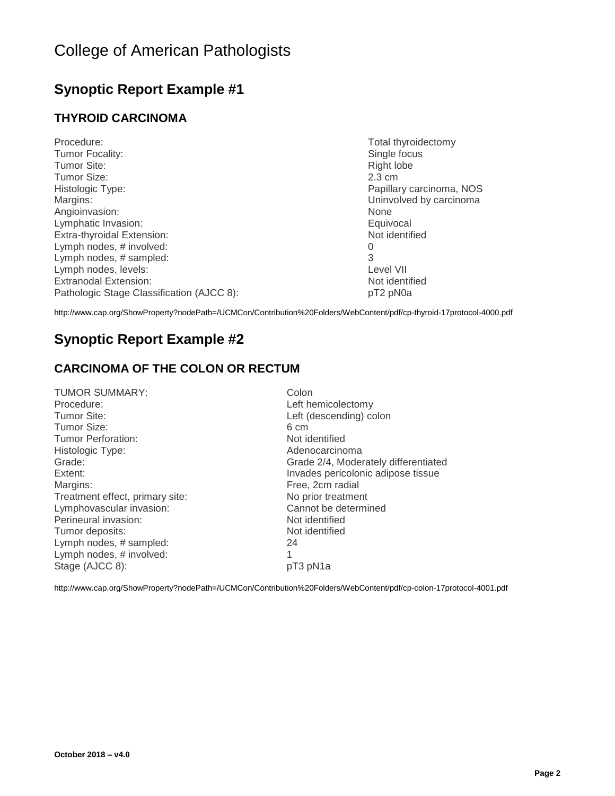### **Synoptic Report Example #1**

### **THYROID CARCINOMA**

| Procedure:                                | Total thyroidectomy      |
|-------------------------------------------|--------------------------|
| Tumor Focality:                           | Single focus             |
| Tumor Site:                               | Right lobe               |
| Tumor Size:                               | $2.3 \text{ cm}$         |
| Histologic Type:                          | Papillary carcinoma, NOS |
| Margins:                                  | Uninvolved by carcinoma  |
| Angioinvasion:                            | <b>None</b>              |
| Lymphatic Invasion:                       | Equivocal                |
| Extra-thyroidal Extension:                | Not identified           |
| Lymph nodes, # involved:                  | O                        |
| Lymph nodes, # sampled:                   | 3                        |
| Lymph nodes, levels:                      | Level VII                |
| Extranodal Extension:                     | Not identified           |
| Pathologic Stage Classification (AJCC 8): | pT2 pN0a                 |

<http://www.cap.org/ShowProperty?nodePath=/UCMCon/Contribution%20Folders/WebContent/pdf/cp-thyroid-17protocol-4000.pdf>

### **Synoptic Report Example #2**

### **CARCINOMA OF THE COLON OR RECTUM**

| <b>TUMOR SUMMARY:</b>           | Colon       |
|---------------------------------|-------------|
| Procedure:                      | Left hemic  |
| Tumor Site:                     | Left (desc  |
| Tumor Size:                     | 6 cm        |
| Tumor Perforation:              | Not identif |
| Histologic Type:                | Adenocard   |
| Grade:                          | Grade 2/4   |
| Extent:                         | Invades pe  |
| Margins:                        | Free, 2cm   |
| Treatment effect, primary site: | No prior tr |
| Lymphovascular invasion:        | Cannot be   |
| Perineural invasion:            | Not identif |
| Tumor deposits:                 | Not identif |
| Lymph nodes, # sampled:         | 24          |
| Lymph nodes, # involved:        |             |
| Stage (AJCC 8):                 | pT3 pN1a    |
|                                 |             |

Left hemicolectomy Left (descending) colon Not identified Adenocarcinoma Grade: Grade 2/4, Moderately differentiated Invades pericolonic adipose tissue Free, 2cm radial No prior treatment Cannot be determined Not identified Not identified

<http://www.cap.org/ShowProperty?nodePath=/UCMCon/Contribution%20Folders/WebContent/pdf/cp-colon-17protocol-4001.pdf>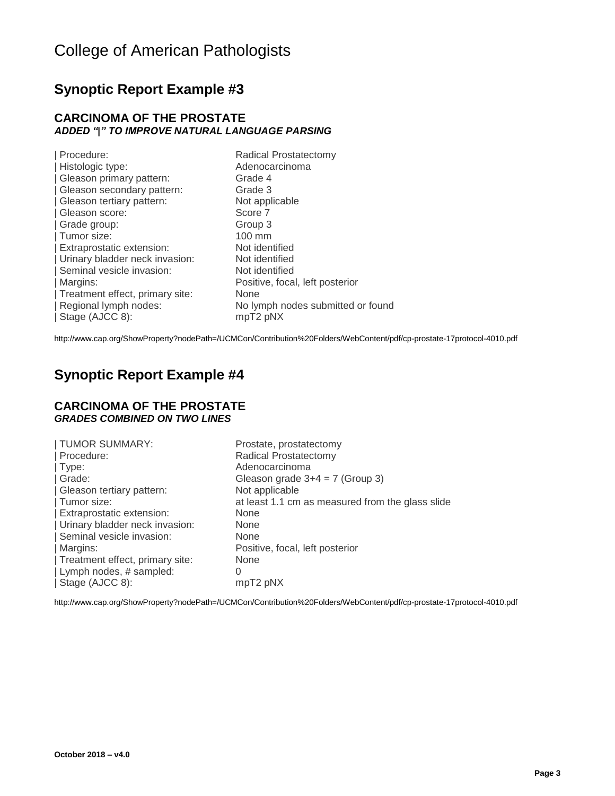### **Synoptic Report Example #3**

#### **CARCINOMA OF THE PROSTATE** *ADDED "|" TO IMPROVE NATURAL LANGUAGE PARSING*

| Procedure:                      | Radical Prostatectomy             |
|---------------------------------|-----------------------------------|
| Histologic type:                | Adenocarcinoma                    |
| Gleason primary pattern:        | Grade 4                           |
| Gleason secondary pattern:      | Grade 3                           |
| Gleason tertiary pattern:       | Not applicable                    |
| Gleason score:                  | Score 7                           |
| Grade group:                    | Group 3                           |
| Tumor size:                     | 100 mm                            |
| Extraprostatic extension:       | Not identified                    |
| Urinary bladder neck invasion:  | Not identified                    |
| Seminal vesicle invasion:       | Not identified                    |
| Margins:                        | Positive, focal, left posterior   |
| Treatment effect, primary site: | None                              |
| Regional lymph nodes:           | No lymph nodes submitted or found |
| Stage (AJCC 8):                 | mpT2 pNX                          |
|                                 |                                   |

<http://www.cap.org/ShowProperty?nodePath=/UCMCon/Contribution%20Folders/WebContent/pdf/cp-prostate-17protocol-4010.pdf>

### **Synoptic Report Example #4**

#### **CARCINOMA OF THE PROSTATE** *GRADES COMBINED ON TWO LINES*

| TUMOR SUMMARY:                  | Prostate, prostatectomy                          |
|---------------------------------|--------------------------------------------------|
| Procedure:                      | Radical Prostatectomy                            |
| $\mathsf{Type}$ :               | Adenocarcinoma                                   |
| Grade:                          | Gleason grade $3+4 = 7$ (Group 3)                |
| Gleason tertiary pattern:       | Not applicable                                   |
| Tumor size:                     | at least 1.1 cm as measured from the glass slide |
| Extraprostatic extension:       | None                                             |
| Urinary bladder neck invasion:  | <b>None</b>                                      |
| Seminal vesicle invasion:       | None                                             |
| Margins:                        | Positive, focal, left posterior                  |
| Treatment effect, primary site: | None                                             |
| Lymph nodes, # sampled:         | O                                                |
| Stage (AJCC 8):                 | mpT2 pNX                                         |

<http://www.cap.org/ShowProperty?nodePath=/UCMCon/Contribution%20Folders/WebContent/pdf/cp-prostate-17protocol-4010.pdf>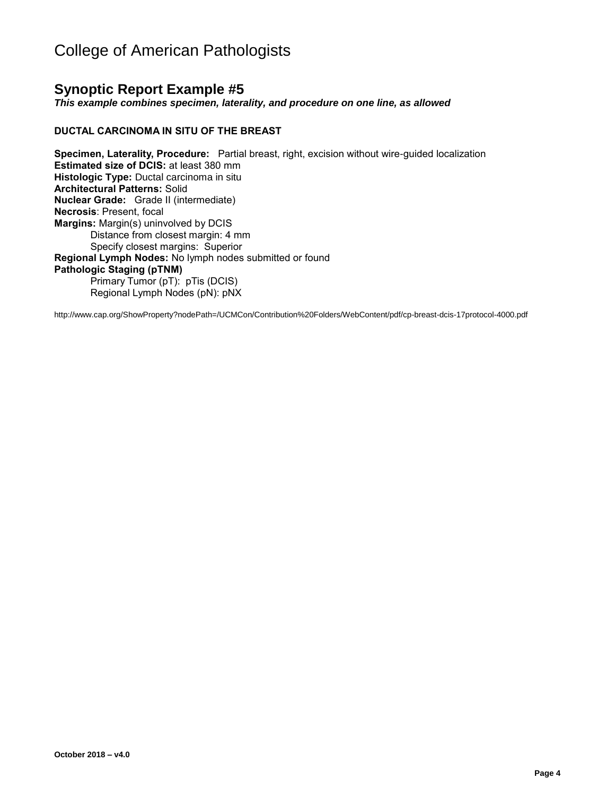### **Synoptic Report Example #5**

*This example combines specimen, laterality, and procedure on one line, as allowed*

#### **DUCTAL CARCINOMA IN SITU OF THE BREAST**

**Specimen, Laterality, Procedure:** Partial breast, right, excision without wire-guided localization **Estimated size of DCIS:** at least 380 mm **Histologic Type:** Ductal carcinoma in situ **Architectural Patterns:** Solid **Nuclear Grade:** Grade II (intermediate) **Necrosis**: Present, focal **Margins:** Margin(s) uninvolved by DCIS Distance from closest margin: 4 mm Specify closest margins: Superior **Regional Lymph Nodes:** No lymph nodes submitted or found **Pathologic Staging (pTNM)**  Primary Tumor (pT): pTis (DCIS) Regional Lymph Nodes (pN): pNX

<http://www.cap.org/ShowProperty?nodePath=/UCMCon/Contribution%20Folders/WebContent/pdf/cp-breast-dcis-17protocol-4000.pdf>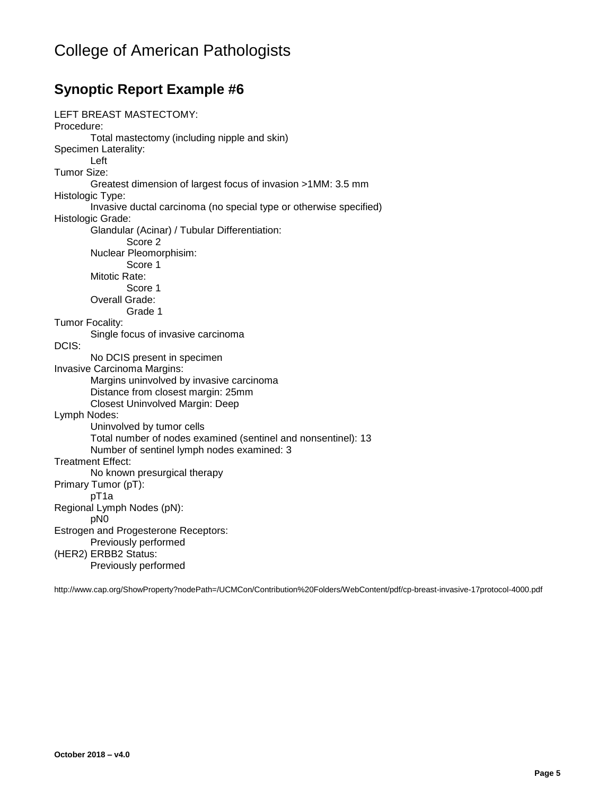### **Synoptic Report Example #6**

```
LEFT BREAST MASTECTOMY:
Procedure:
       Total mastectomy (including nipple and skin)
Specimen Laterality:
       Left
Tumor Size: 
       Greatest dimension of largest focus of invasion >1MM: 3.5 mm
Histologic Type:
       Invasive ductal carcinoma (no special type or otherwise specified)
Histologic Grade:
       Glandular (Acinar) / Tubular Differentiation:
               Score 2
       Nuclear Pleomorphisim:
               Score 1
       Mitotic Rate:
               Score 1
       Overall Grade:
               Grade 1
Tumor Focality:
       Single focus of invasive carcinoma
DCIS:
       No DCIS present in specimen
Invasive Carcinoma Margins:
       Margins uninvolved by invasive carcinoma
       Distance from closest margin: 25mm
       Closest Uninvolved Margin: Deep
Lymph Nodes:
       Uninvolved by tumor cells
       Total number of nodes examined (sentinel and nonsentinel): 13
       Number of sentinel lymph nodes examined: 3
Treatment Effect:
       No known presurgical therapy
Primary Tumor (pT):
       pT1a
Regional Lymph Nodes (pN):
       pN0
Estrogen and Progesterone Receptors:
       Previously performed
(HER2) ERBB2 Status:
       Previously performed
```
<http://www.cap.org/ShowProperty?nodePath=/UCMCon/Contribution%20Folders/WebContent/pdf/cp-breast-invasive-17protocol-4000.pdf>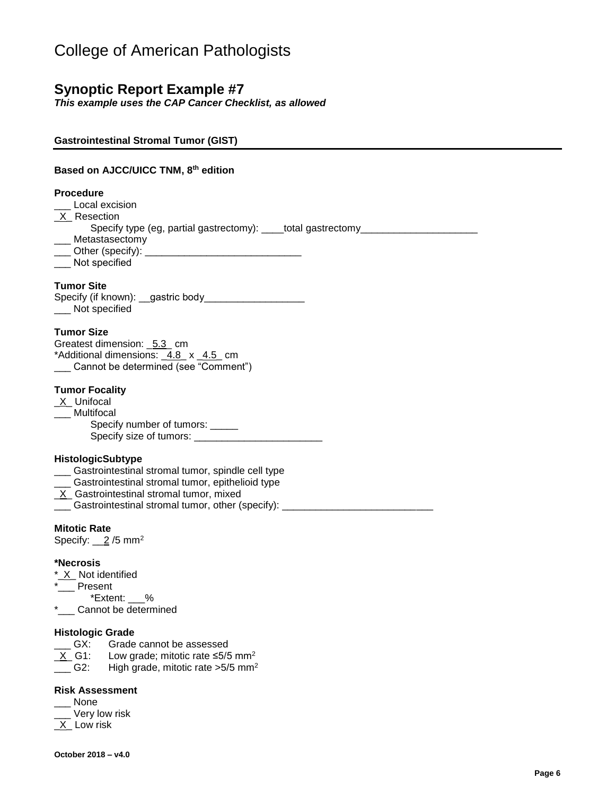### **Synoptic Report Example #7**

**Gastrointestinal Stromal Tumor (GIST)**

*This example uses the CAP Cancer Checklist, as allowed*

| Based on AJCC/UICC TNM, 8th edition                                                                                                                                                                                                                                      |
|--------------------------------------------------------------------------------------------------------------------------------------------------------------------------------------------------------------------------------------------------------------------------|
| <b>Procedure</b><br>Local excision<br>X Resection<br>Specify type (eg, partial gastrectomy): ____total gastrectomy______________<br>___ Metastasectomy<br>Not specified                                                                                                  |
| <b>Tumor Site</b><br>Not specified                                                                                                                                                                                                                                       |
| <b>Tumor Size</b><br>Greatest dimension: _5.3_ cm<br>*Additional dimensions: 4.8 x 4.5 cm<br>Cannot be determined (see "Comment")                                                                                                                                        |
| <b>Tumor Focality</b><br>_X_Unifocal<br>Multifocal<br>Specify number of tumors: _____                                                                                                                                                                                    |
| <b>HistologicSubtype</b><br>___ Gastrointestinal stromal tumor, spindle cell type<br>___ Gastrointestinal stromal tumor, epithelioid type<br>X Gastrointestinal stromal tumor, mixed<br>Gastrointestinal stromal tumor, other (specify): _______________________________ |
| <b>Mitotic Rate</b><br>Specify: $\_\_2$ /5 mm <sup>2</sup>                                                                                                                                                                                                               |
| *Necrosis<br>*_X_ Not identified<br>__ Present<br>*Extent: %<br>*___ Cannot be determined                                                                                                                                                                                |

#### **Histologic Grade**

- **EX:** Grade cannot be assessed
- $X_G = X_G = 61$ : Low grade; mitotic rate ≤5/5 mm<sup>2</sup>
- $\frac{1}{2}$  G2: High grade, mitotic rate > 5/5 mm<sup>2</sup>

#### **Risk Assessment**

- \_\_\_ None \_\_\_ Very low risk
- $X$  Low risk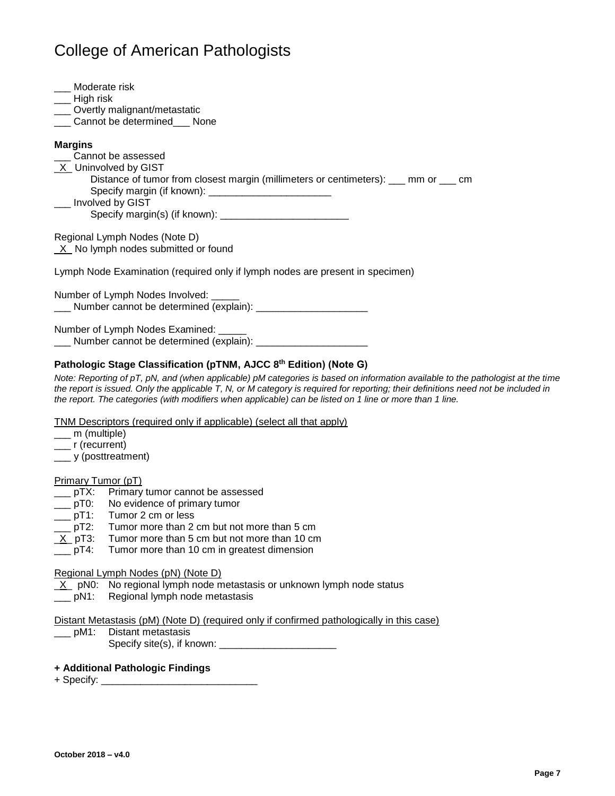| Moderate risk<br>$\frac{1}{2}$ High risk<br>___ Overtly malignant/metastatic<br>Cannot be determined ___ None |
|---------------------------------------------------------------------------------------------------------------|
| <b>Margins</b>                                                                                                |
| Cannot be assessed                                                                                            |
| _X_Uninvolved by GIST                                                                                         |
| Distance of tumor from closest margin (millimeters or centimeters): ___ mm or ___ cm                          |
| ___ Involved by GIST                                                                                          |
|                                                                                                               |
| Regional Lymph Nodes (Note D)                                                                                 |
| $X$ No lymph nodes submitted or found                                                                         |
|                                                                                                               |
| Lymph Node Examination (required only if lymph nodes are present in specimen)                                 |
| Number of Lymph Nodes Involved: _____                                                                         |
|                                                                                                               |
|                                                                                                               |
| Number of Lymph Nodes Examined: _____                                                                         |
| Number cannot be determined (explain):                                                                        |

#### **Pathologic Stage Classification (pTNM, AJCC 8th Edition) (Note G)**

*Note: Reporting of pT, pN, and (when applicable) pM categories is based on information available to the pathologist at the time the report is issued. Only the applicable T, N, or M category is required for reporting; their definitions need not be included in the report. The categories (with modifiers when applicable) can be listed on 1 line or more than 1 line.*

#### TNM Descriptors (required only if applicable) (select all that apply)

- \_\_\_ m (multiple)
- \_\_\_ r (recurrent)
- \_\_\_ y (posttreatment)

#### Primary Tumor (pT)

- \_\_\_ pTX: Primary tumor cannot be assessed<br>\_\_\_ pT0: No evidence of primary tumor
- \_\_\_ pT0: No evidence of primary tumor<br>\_\_\_ pT1: Tumor 2 cm or less
- Tumor 2 cm or less
- \_\_\_ pT2: Tumor more than 2 cm but not more than 5 cm
- $\underline{X}$  pT3: Tumor more than 5 cm but not more than 10 cm<br>  $\underline{\hspace{1cm}}$  pT4: Tumor more than 10 cm in greatest dimension
- Tumor more than 10 cm in greatest dimension

#### Regional Lymph Nodes (pN) (Note D)

- $X$  pN0: No regional lymph node metastasis or unknown lymph node status
- \_\_\_ pN1: Regional lymph node metastasis

#### Distant Metastasis (pM) (Note D) (required only if confirmed pathologically in this case)

\_\_\_ pM1: Distant metastasis

Specify site(s), if known: \_\_\_\_\_\_\_\_\_\_\_\_\_\_\_\_\_\_\_\_\_

#### **+ Additional Pathologic Findings**

+ Specify: \_\_\_\_\_\_\_\_\_\_\_\_\_\_\_\_\_\_\_\_\_\_\_\_\_\_\_\_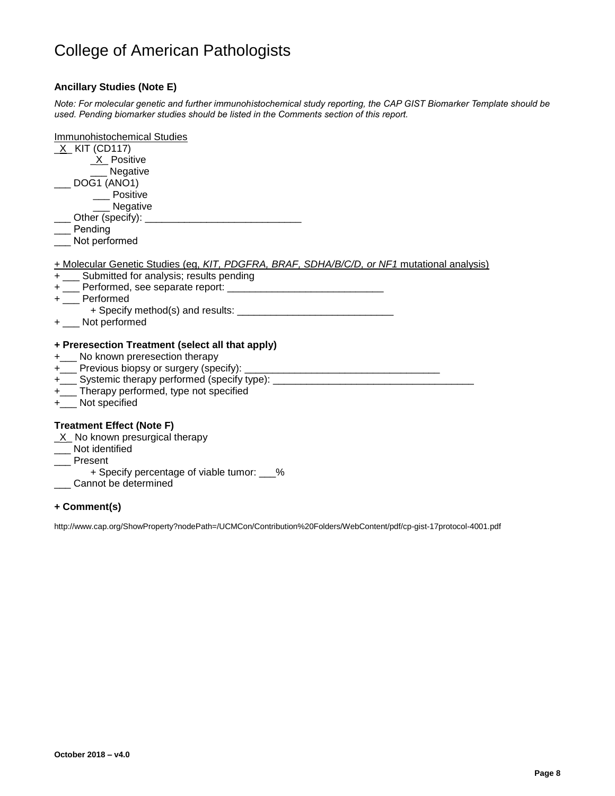#### **Ancillary Studies (Note E)**

*Note: For molecular genetic and further immunohistochemical study reporting, the CAP GIST Biomarker Template should be used. Pending biomarker studies should be listed in the Comments section of this report.*

| Immunohistochemical Studies<br>_X_ KIT (CD117)<br>X Positive<br>__ Negative<br>$\sim$ DOG1 (ANO1)<br>____ Positive                                                                                                                          |
|---------------------------------------------------------------------------------------------------------------------------------------------------------------------------------------------------------------------------------------------|
| __ Negative<br>___ Other (specify): ______________________________<br>Pending<br>Not performed                                                                                                                                              |
| + Molecular Genetic Studies (eg, KIT, PDGFRA, BRAF, SDHA/B/C/D, or NF1 mutational analysis)<br>+ ___ Submitted for analysis; results pending<br>+ __ Performed<br>+ ___ Not performed                                                       |
| + Preresection Treatment (select all that apply)<br>+___ No known preresection therapy<br>+____ Systemic therapy performed (specify type): _______________________________<br>+___ Therapy performed, type not specified<br>+ Not specified |
| <b>Treatment Effect (Note F)</b><br>$X$ No known presurgical therapy<br>Not identified<br>_ Present<br>+ Specify percentage of viable tumor: ___%<br>Cannot be determined                                                                   |

#### **+ Comment(s)**

<http://www.cap.org/ShowProperty?nodePath=/UCMCon/Contribution%20Folders/WebContent/pdf/cp-gist-17protocol-4001.pdf>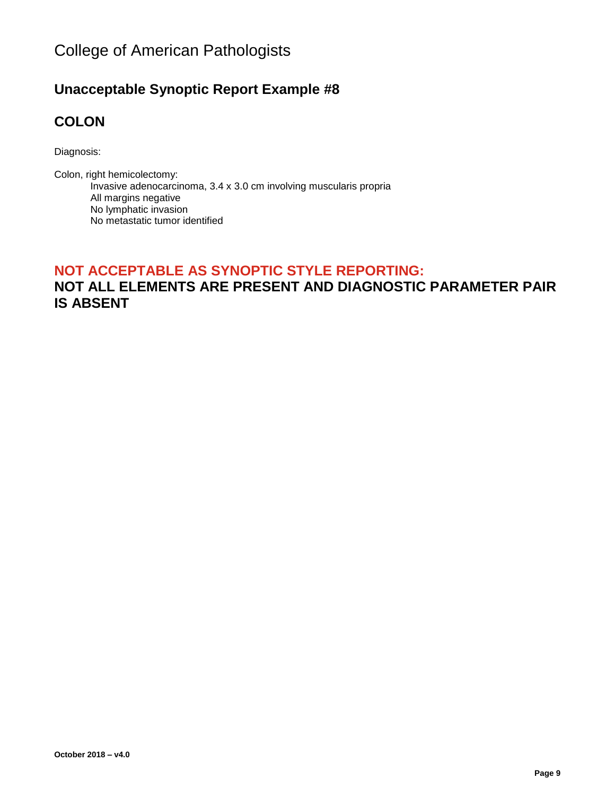### **Unacceptable Synoptic Report Example #8**

### **COLON**

Diagnosis:

Colon, right hemicolectomy: Invasive adenocarcinoma, 3.4 x 3.0 cm involving muscularis propria All margins negative No lymphatic invasion No metastatic tumor identified

### **NOT ACCEPTABLE AS SYNOPTIC STYLE REPORTING: NOT ALL ELEMENTS ARE PRESENT AND DIAGNOSTIC PARAMETER PAIR IS ABSENT**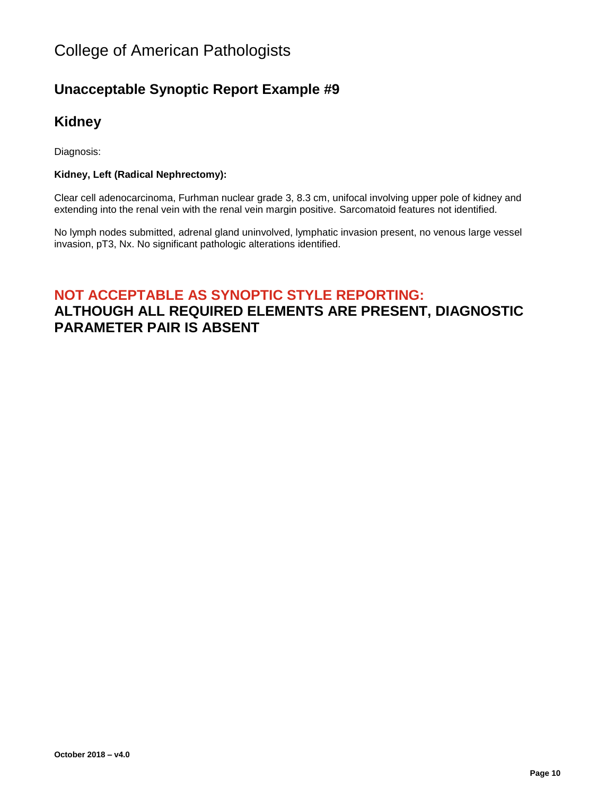### **Unacceptable Synoptic Report Example #9**

### **Kidney**

Diagnosis:

#### **Kidney, Left (Radical Nephrectomy):**

Clear cell adenocarcinoma, Furhman nuclear grade 3, 8.3 cm, unifocal involving upper pole of kidney and extending into the renal vein with the renal vein margin positive. Sarcomatoid features not identified.

No lymph nodes submitted, adrenal gland uninvolved, lymphatic invasion present, no venous large vessel invasion, pT3, Nx. No significant pathologic alterations identified.

# **NOT ACCEPTABLE AS SYNOPTIC STYLE REPORTING:**

### **ALTHOUGH ALL REQUIRED ELEMENTS ARE PRESENT, DIAGNOSTIC PARAMETER PAIR IS ABSENT**